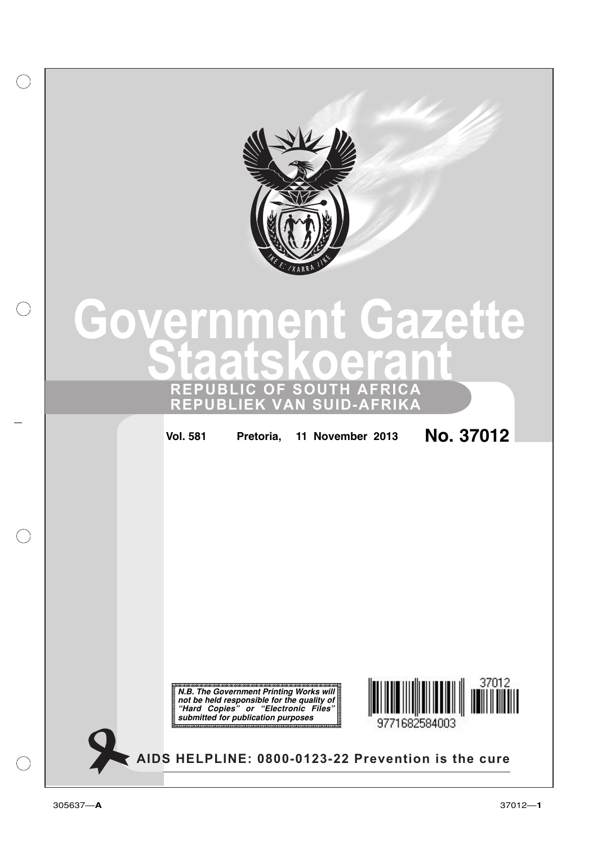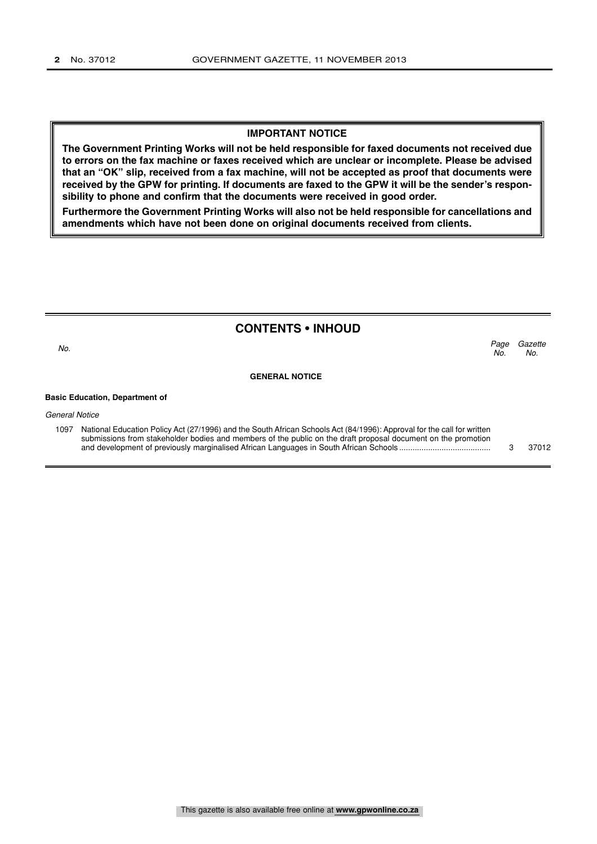#### **IMPORTANT NOTICE**

**The Government Printing Works will not be held responsible for faxed documents not received due to errors on the fax machine or faxes received which are unclear or incomplete. Please be advised that an "OK" slip, received from a fax machine, will not be accepted as proof that documents were received by the GPW for printing. If documents are faxed to the GPW it will be the sender's responsibility to phone and confirm that the documents were received in good order.**

**Furthermore the Government Printing Works will also not be held responsible for cancellations and amendments which have not been done on original documents received from clients.**

### **CONTENTS • INHOUD**

Page Gazette  $N_{\Omega}$ No.  $\sim$  No.

**GENERAL NOTICE**

#### **Basic Education, Department of**

General Notice

| 1097 | National Education Policy Act (27/1996) and the South African Schools Act (84/1996): Approval for the call for written |       |
|------|------------------------------------------------------------------------------------------------------------------------|-------|
|      | submissions from stakeholder bodies and members of the public on the draft proposal document on the promotion          |       |
|      |                                                                                                                        | 37012 |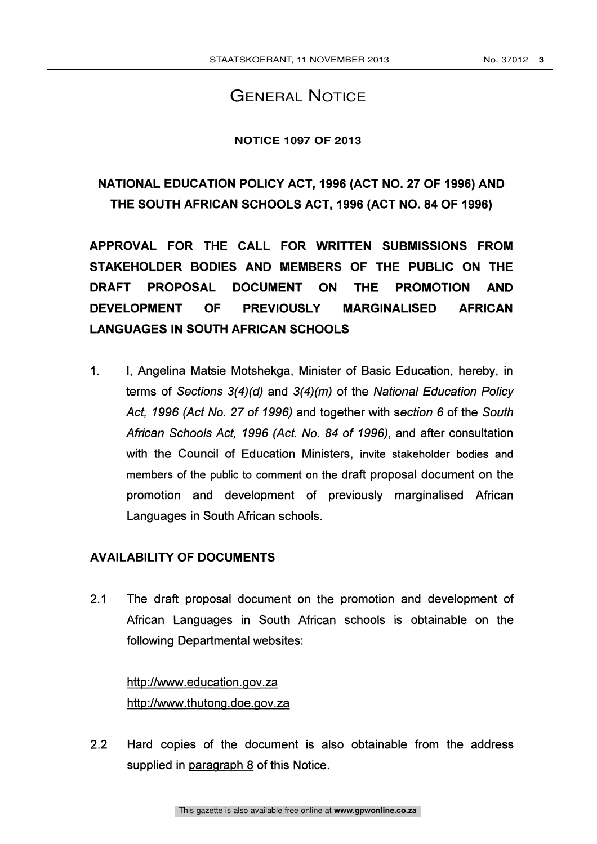## GENERAL NOTICE

## **NOTICE 1097 OF 2013**

# NATIONAL EDUCATION POLICY ACT, 1996 (ACT NO. 27 OF 1996) AND THE SOUTH AFRICAN SCHOOLS ACT, 1996 (ACT NO. 84 OF 1996)

APPROVAL FOR THE CALL FOR WRITTEN SUBMISSIONS FROM STAKEHOLDER BODIES AND MEMBERS OF THE PUBLIC ON THE DRAFT PROPOSAL DOCUMENT ON THE PROMOTION AND DEVELOPMENT OF PREVIOUSLY MARGINALISED AFRICAN LANGUAGES IN SOUTH AFRICAN SCHOOLS

1. I, Angelina Matsie Motshekga, Minister of Basic Education, hereby, in terms of Sections  $3(4)(d)$  and  $3(4)(m)$  of the National Education Policy Act, 1996 (Act No. 27 of 1996) and together with section 6 of the South African Schools Act, 1996 (Act. No. 84 of 1996), and after consultation with the Council of Education Ministers, invite stakeholder bodies and members of the public to comment on the draft proposal document on the promotion and development of previously marginalised African Languages in South African schools.

## AVAILABILITY OF DOCUMENTS

2.1 The draft proposal document on the promotion and development of African Languages in South African schools is obtainable on the following Departmental websites:

http://www.education.gov.za http://www.thutong.doe.gov.za

2.2 Hard copies of the document is also obtainable from the address supplied in paragraph 8 of this Notice.